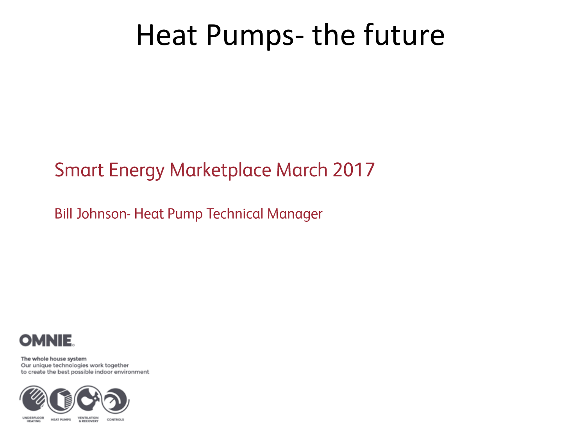### **Smart Energy Marketplace March 2017**

**Bill Johnson- Heat Pump Technical Manager** 



The whole house system Our unique technologies work together to create the best possible indoor environment

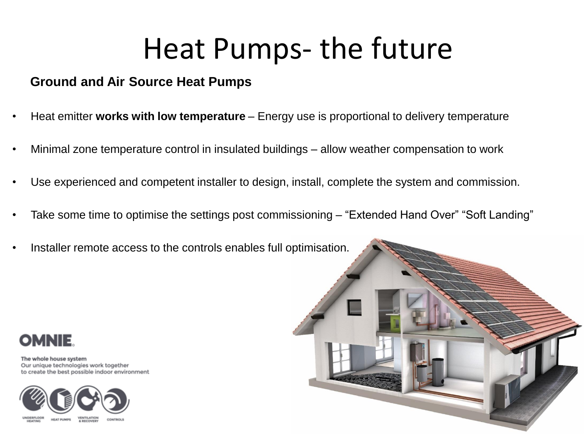#### **Ground and Air Source Heat Pumps**

- Heat emitter **works with low temperature** Energy use is proportional to delivery temperature
- Minimal zone temperature control in insulated buildings allow weather compensation to work
- Use experienced and competent installer to design, install, complete the system and commission.
- Take some time to optimise the settings post commissioning "Extended Hand Over" "Soft Landing"
- Installer remote access to the controls enables full optimisation.



The whole house system Our unique technologies work together to create the best possible indoor environment



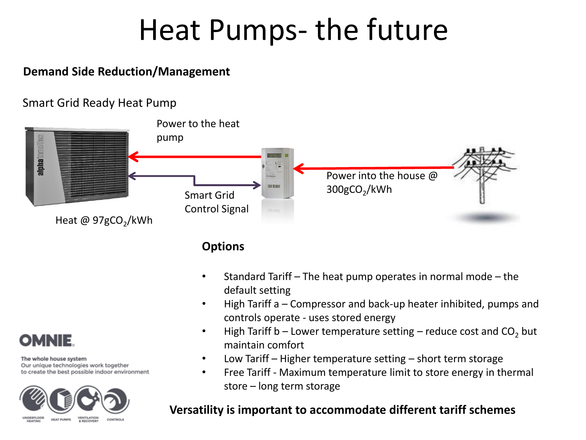#### **Demand Side Reduction/Management**

#### Smart Grid Ready Heat Pump



**Options**

- Standard Tariff The heat pump operates in normal mode the default setting
- High Tariff a Compressor and back-up heater inhibited, pumps and controls operate - uses stored energy
- High Tariff b Lower temperature setting reduce cost and  $CO<sub>2</sub>$  but maintain comfort
- Low Tariff Higher temperature setting short term storage
- Free Tariff Maximum temperature limit to store energy in thermal store – long term storage

#### **Versatility is important to accommodate different tariff schemes**

**OMNIE** 

The whole house system

Our unique technologies work together to create the best possible indoor environment